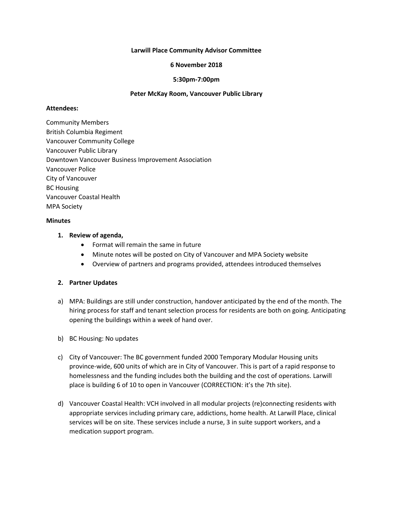### **Larwill Place Community Advisor Committee**

#### **6 November 2018**

### **5:30pm-7:00pm**

## **Peter McKay Room, Vancouver Public Library**

#### **Attendees:**

Community Members British Columbia Regiment Vancouver Community College Vancouver Public Library Downtown Vancouver Business Improvement Association Vancouver Police City of Vancouver BC Housing Vancouver Coastal Health MPA Society

### **Minutes**

### **1. Review of agenda,**

- Format will remain the same in future
- Minute notes will be posted on City of Vancouver and MPA Society website
- Overview of partners and programs provided, attendees introduced themselves

# **2. Partner Updates**

- a) MPA: Buildings are still under construction, handover anticipated by the end of the month. The hiring process for staff and tenant selection process for residents are both on going. Anticipating opening the buildings within a week of hand over.
- b) BC Housing: No updates
- c) City of Vancouver: The BC government funded 2000 Temporary Modular Housing units province-wide, 600 units of which are in City of Vancouver. This is part of a rapid response to homelessness and the funding includes both the building and the cost of operations. Larwill place is building 6 of 10 to open in Vancouver (CORRECTION: it's the 7th site).
- d) Vancouver Coastal Health: VCH involved in all modular projects (re)connecting residents with appropriate services including primary care, addictions, home health. At Larwill Place, clinical services will be on site. These services include a nurse, 3 in suite support workers, and a medication support program.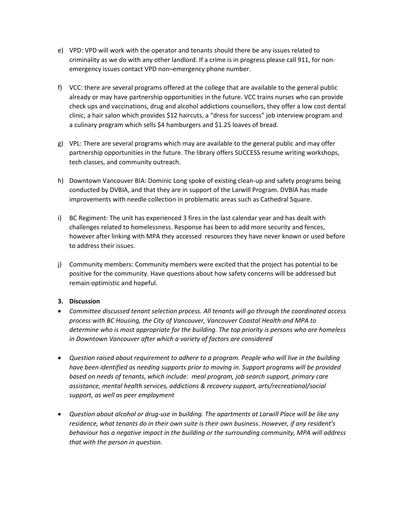- e) VPD: VPD will work with the operator and tenants should there be any issues related to criminality as we do with any other landlord. If a crime is in progress please call 911, for nonemergency issues contact VPD non–emergency phone number.
- f) VCC: there are several programs offered at the college that are available to the general public already or may have partnership opportunities in the future. VCC trains nurses who can provide check ups and vaccinations, drug and alcohol addictions counsellors, they offer a low cost dental clinic, a hair salon which provides \$12 haircuts, a "dress for success" job interview program and a culinary program which sells \$4 hamburgers and \$1.25 loaves of bread.
- g) VPL: There are several programs which may are available to the general public and may offer partnership opportunities in the future. The library offers SUCCESS resume writing workshops, tech classes, and community outreach.
- h) Downtown Vancouver BIA: Dominic Long spoke of existing clean-up and safety programs being conducted by DVBIA, and that they are in support of the Larwill Program. DVBIA has made improvements with needle collection in problematic areas such as Cathedral Square.
- i) BC Regiment: The unit has experienced 3 fires in the last calendar year and has dealt with challenges related to homelessness. Response has been to add more security and fences, however after linking with MPA they accessed resources they have never known or used before to address their issues.
- j) Community members: Community members were excited that the project has potential to be positive for the community. Have questions about how safety concerns will be addressed but remain optimistic and hopeful.

# **3. Discussion**

- *Committee discussed tenant selection process. All tenants will go through the coordinated access process with BC Housing, the City of Vancouver, Vancouver Coastal Health and MPA to determine who is most appropriate for the building. The top priority is persons who are homeless in Downtown Vancouver after which a variety of factors are considered*
- *Question raised about requirement to adhere to a program. People who will live in the building have been identified as needing supports prior to moving in. Support programs will be provided based on needs of tenants, which include: meal program, job search support, primary care assistance, mental health services, addictions & recovery support, arts/recreational/social support, as well as peer employment*
- *Question about alcohol or drug-use in building. The apartments at Larwill Place will be like any residence, what tenants do in their own suite is their own business. However, if any resident's behaviour has a negative impact in the building or the surrounding community, MPA will address that with the person in question.*